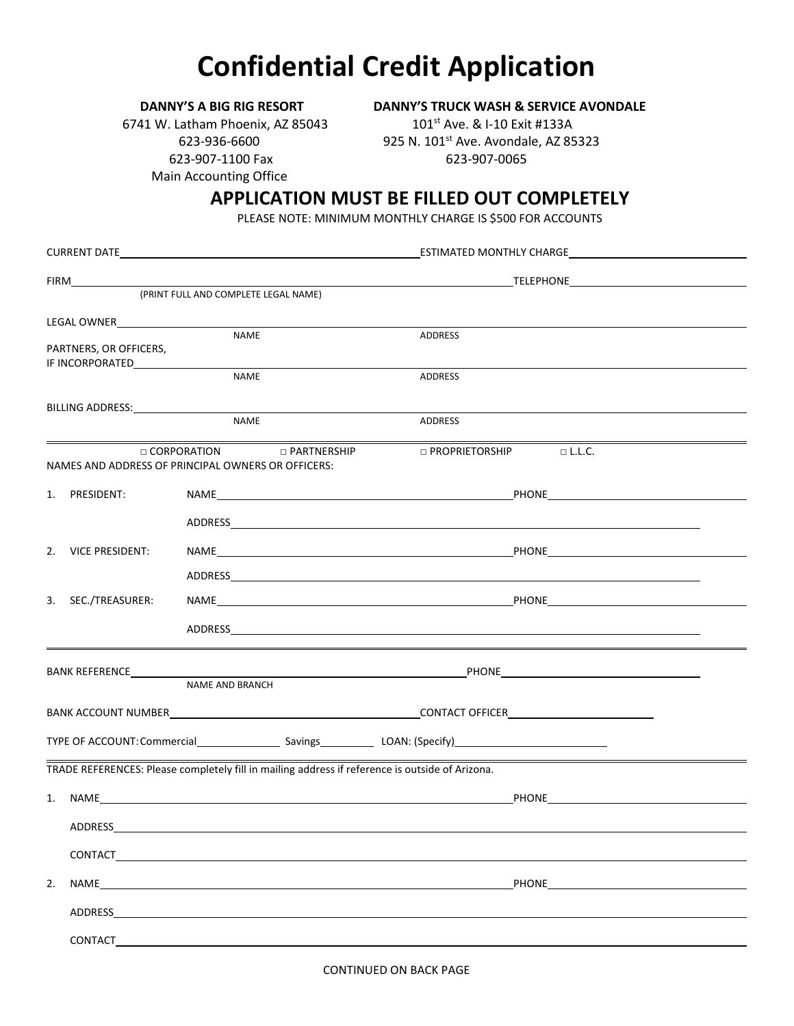## **Confidential Credit Application**

**DANNY'S A BIG RIG RESORT DANNY'S TRUCK WASH & SERVICE AVONDALE**

6741 W. Latham Phoenix, AZ 85043 101st Ave. & I-10 Exit #133A 623-907-1100 Fax 623-907-0065 Main Accounting Office

623-936-6600 925 N. 101st Ave. Avondale, AZ 85323

## **APPLICATION MUST BE FILLED OUT COMPLETELY**

PLEASE NOTE: MINIMUM MONTHLY CHARGE IS \$500 FOR ACCOUNTS

| (PRINT FULL AND COMPLETE LEGAL NAME)                                                                                                                                                                                           |                                                                                                                                                                                                                                |                                                                                                                                                                                                                                |  |  |  |  |  |
|--------------------------------------------------------------------------------------------------------------------------------------------------------------------------------------------------------------------------------|--------------------------------------------------------------------------------------------------------------------------------------------------------------------------------------------------------------------------------|--------------------------------------------------------------------------------------------------------------------------------------------------------------------------------------------------------------------------------|--|--|--|--|--|
|                                                                                                                                                                                                                                | LEGAL OWNER<br><b>NAME</b>                                                                                                                                                                                                     |                                                                                                                                                                                                                                |  |  |  |  |  |
| PARTNERS, OR OFFICERS,                                                                                                                                                                                                         | <b>NAME</b>                                                                                                                                                                                                                    | <b>ADDRESS</b>                                                                                                                                                                                                                 |  |  |  |  |  |
|                                                                                                                                                                                                                                |                                                                                                                                                                                                                                | ADDRESS                                                                                                                                                                                                                        |  |  |  |  |  |
| BILLING ADDRESS: NAMEL AND THE RESERVE TO A LOCAL CONTROL AND RESERVE TO A LOCAL CONTROL AND RESERVE TO A LOCAL CONTROL AND RESERVE TO A LOCAL CONTROL AND RESERVE TO A LOCAL CONTROL AND RESERVE TO A LOCAL CONTROL AND RESER | <b>NAME</b>                                                                                                                                                                                                                    | ADDRESS                                                                                                                                                                                                                        |  |  |  |  |  |
|                                                                                                                                                                                                                                | □ CORPORATION □ PARTNERSHIP<br>NAMES AND ADDRESS OF PRINCIPAL OWNERS OR OFFICERS:                                                                                                                                              | $\Box$ PROPRIETORSHIP $\Box$ L.L.C.                                                                                                                                                                                            |  |  |  |  |  |
| 1. PRESIDENT:                                                                                                                                                                                                                  |                                                                                                                                                                                                                                |                                                                                                                                                                                                                                |  |  |  |  |  |
|                                                                                                                                                                                                                                |                                                                                                                                                                                                                                |                                                                                                                                                                                                                                |  |  |  |  |  |
| 2. VICE PRESIDENT:                                                                                                                                                                                                             |                                                                                                                                                                                                                                | NAME PHONE                                                                                                                                                                                                                     |  |  |  |  |  |
|                                                                                                                                                                                                                                |                                                                                                                                                                                                                                |                                                                                                                                                                                                                                |  |  |  |  |  |
| 3. SEC./TREASURER:                                                                                                                                                                                                             |                                                                                                                                                                                                                                |                                                                                                                                                                                                                                |  |  |  |  |  |
|                                                                                                                                                                                                                                |                                                                                                                                                                                                                                | ADDRESS AND THE STATE OF THE STATE OF THE STATE OF THE STATE OF THE STATE OF THE STATE OF THE STATE OF THE STATE OF THE STATE OF THE STATE OF THE STATE OF THE STATE OF THE STATE OF THE STATE OF THE STATE OF THE STATE OF TH |  |  |  |  |  |
|                                                                                                                                                                                                                                |                                                                                                                                                                                                                                |                                                                                                                                                                                                                                |  |  |  |  |  |
|                                                                                                                                                                                                                                | NAME AND BRANCH                                                                                                                                                                                                                |                                                                                                                                                                                                                                |  |  |  |  |  |
|                                                                                                                                                                                                                                |                                                                                                                                                                                                                                |                                                                                                                                                                                                                                |  |  |  |  |  |
|                                                                                                                                                                                                                                |                                                                                                                                                                                                                                |                                                                                                                                                                                                                                |  |  |  |  |  |
|                                                                                                                                                                                                                                | TRADE REFERENCES: Please completely fill in mailing address if reference is outside of Arizona.                                                                                                                                |                                                                                                                                                                                                                                |  |  |  |  |  |
|                                                                                                                                                                                                                                | PHONE PHONE                                                                                                                                                                                                                    |                                                                                                                                                                                                                                |  |  |  |  |  |
| ADDRESS                                                                                                                                                                                                                        |                                                                                                                                                                                                                                |                                                                                                                                                                                                                                |  |  |  |  |  |
| CONTACT                                                                                                                                                                                                                        |                                                                                                                                                                                                                                |                                                                                                                                                                                                                                |  |  |  |  |  |
| 2.                                                                                                                                                                                                                             | NAME And the state of the state of the state of the state of the state of the state of the state of the state of the state of the state of the state of the state of the state of the state of the state of the state of the s | PHONE                                                                                                                                                                                                                          |  |  |  |  |  |
|                                                                                                                                                                                                                                |                                                                                                                                                                                                                                |                                                                                                                                                                                                                                |  |  |  |  |  |
|                                                                                                                                                                                                                                |                                                                                                                                                                                                                                |                                                                                                                                                                                                                                |  |  |  |  |  |